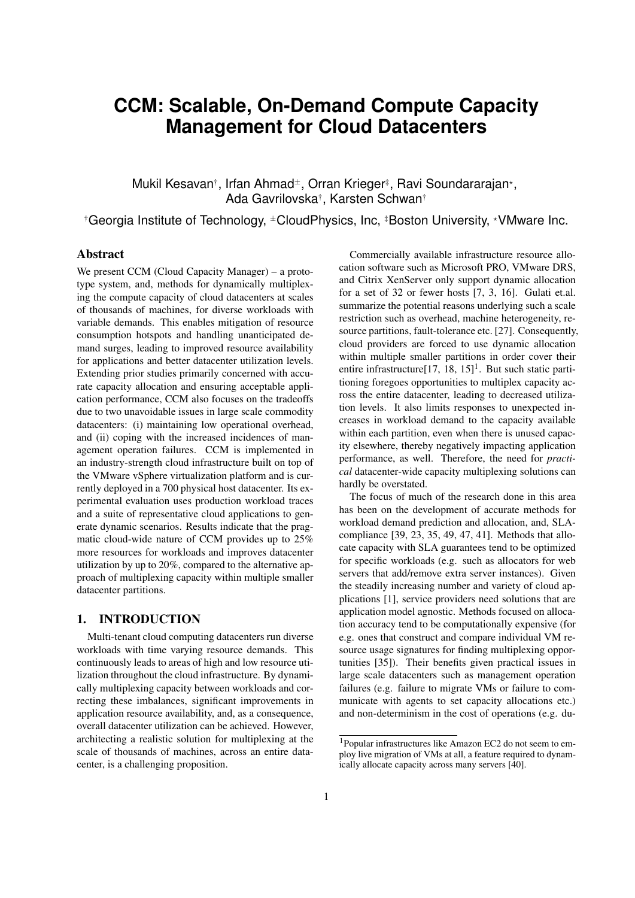# **CCM: Scalable, On-Demand Compute Capacity Management for Cloud Datacenters**

Mukil Kesavan<sup>†</sup>, Irfan Ahmad<sup>±</sup>, Orran Krieger‡, Ravi Soundararajan\*, Ada Gavrilovska† , Karsten Schwan†

†Georgia Institute of Technology, <sup>±</sup>CloudPhysics, Inc, ‡Boston University, ?VMware Inc.

# Abstract

We present CCM (Cloud Capacity Manager) – a prototype system, and, methods for dynamically multiplexing the compute capacity of cloud datacenters at scales of thousands of machines, for diverse workloads with variable demands. This enables mitigation of resource consumption hotspots and handling unanticipated demand surges, leading to improved resource availability for applications and better datacenter utilization levels. Extending prior studies primarily concerned with accurate capacity allocation and ensuring acceptable application performance, CCM also focuses on the tradeoffs due to two unavoidable issues in large scale commodity datacenters: (i) maintaining low operational overhead, and (ii) coping with the increased incidences of management operation failures. CCM is implemented in an industry-strength cloud infrastructure built on top of the VMware vSphere virtualization platform and is currently deployed in a 700 physical host datacenter. Its experimental evaluation uses production workload traces and a suite of representative cloud applications to generate dynamic scenarios. Results indicate that the pragmatic cloud-wide nature of CCM provides up to 25% more resources for workloads and improves datacenter utilization by up to 20%, compared to the alternative approach of multiplexing capacity within multiple smaller datacenter partitions.

# 1. INTRODUCTION

Multi-tenant cloud computing datacenters run diverse workloads with time varying resource demands. This continuously leads to areas of high and low resource utilization throughout the cloud infrastructure. By dynamically multiplexing capacity between workloads and correcting these imbalances, significant improvements in application resource availability, and, as a consequence, overall datacenter utilization can be achieved. However, architecting a realistic solution for multiplexing at the scale of thousands of machines, across an entire datacenter, is a challenging proposition.

Commercially available infrastructure resource allocation software such as Microsoft PRO, VMware DRS, and Citrix XenServer only support dynamic allocation for a set of 32 or fewer hosts [7, 3, 16]. Gulati et.al. summarize the potential reasons underlying such a scale restriction such as overhead, machine heterogeneity, resource partitions, fault-tolerance etc. [27]. Consequently, cloud providers are forced to use dynamic allocation within multiple smaller partitions in order cover their entire infrastructure $[17, 18, 15]$ <sup>1</sup>. But such static partitioning foregoes opportunities to multiplex capacity across the entire datacenter, leading to decreased utilization levels. It also limits responses to unexpected increases in workload demand to the capacity available within each partition, even when there is unused capacity elsewhere, thereby negatively impacting application performance, as well. Therefore, the need for *practical* datacenter-wide capacity multiplexing solutions can hardly be overstated.

The focus of much of the research done in this area has been on the development of accurate methods for workload demand prediction and allocation, and, SLAcompliance [39, 23, 35, 49, 47, 41]. Methods that allocate capacity with SLA guarantees tend to be optimized for specific workloads (e.g. such as allocators for web servers that add/remove extra server instances). Given the steadily increasing number and variety of cloud applications [1], service providers need solutions that are application model agnostic. Methods focused on allocation accuracy tend to be computationally expensive (for e.g. ones that construct and compare individual VM resource usage signatures for finding multiplexing opportunities [35]). Their benefits given practical issues in large scale datacenters such as management operation failures (e.g. failure to migrate VMs or failure to communicate with agents to set capacity allocations etc.) and non-determinism in the cost of operations (e.g. du-

<sup>1</sup>Popular infrastructures like Amazon EC2 do not seem to employ live migration of VMs at all, a feature required to dynamically allocate capacity across many servers [40].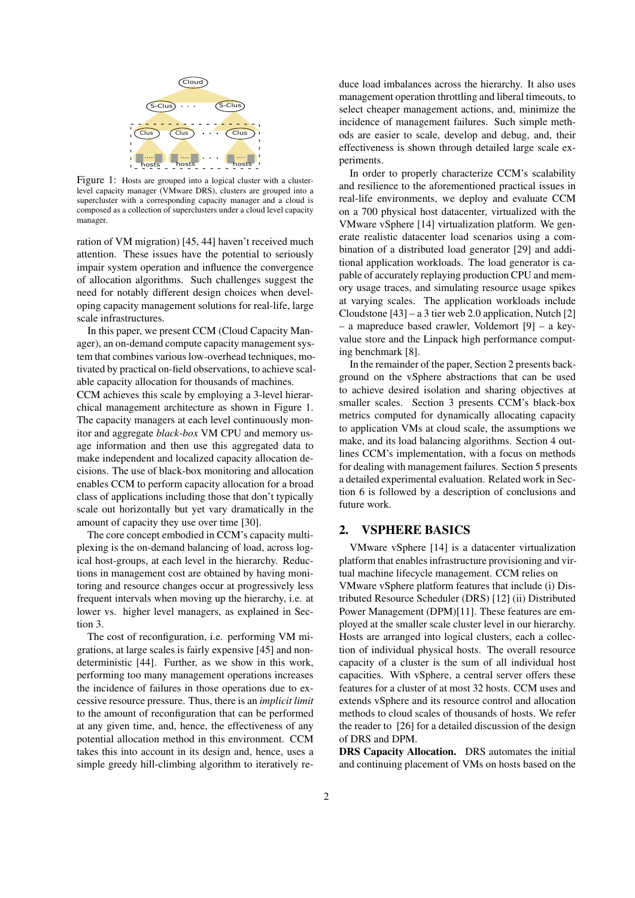

Figure 1: Hosts are grouped into a logical cluster with a clusterlevel capacity manager (VMware DRS), clusters are grouped into a supercluster with a corresponding capacity manager and a cloud is composed as a collection of superclusters under a cloud level capacity manager.

ration of VM migration) [45, 44] haven't received much attention. These issues have the potential to seriously impair system operation and influence the convergence of allocation algorithms. Such challenges suggest the need for notably different design choices when developing capacity management solutions for real-life, large scale infrastructures.

In this paper, we present CCM (Cloud Capacity Manager), an on-demand compute capacity management system that combines various low-overhead techniques, motivated by practical on-field observations, to achieve scalable capacity allocation for thousands of machines.

CCM achieves this scale by employing a 3-level hierarchical management architecture as shown in Figure 1. The capacity managers at each level continuously monitor and aggregate *black-box* VM CPU and memory usage information and then use this aggregated data to make independent and localized capacity allocation decisions. The use of black-box monitoring and allocation enables CCM to perform capacity allocation for a broad class of applications including those that don't typically scale out horizontally but yet vary dramatically in the amount of capacity they use over time [30].

The core concept embodied in CCM's capacity multiplexing is the on-demand balancing of load, across logical host-groups, at each level in the hierarchy. Reductions in management cost are obtained by having monitoring and resource changes occur at progressively less frequent intervals when moving up the hierarchy, i.e. at lower vs. higher level managers, as explained in Section 3.

The cost of reconfiguration, i.e. performing VM migrations, at large scales is fairly expensive [45] and nondeterministic [44]. Further, as we show in this work, performing too many management operations increases the incidence of failures in those operations due to excessive resource pressure. Thus, there is an *implicit limit* to the amount of reconfiguration that can be performed at any given time, and, hence, the effectiveness of any potential allocation method in this environment. CCM takes this into account in its design and, hence, uses a simple greedy hill-climbing algorithm to iteratively reduce load imbalances across the hierarchy. It also uses management operation throttling and liberal timeouts, to select cheaper management actions, and, minimize the incidence of management failures. Such simple methods are easier to scale, develop and debug, and, their effectiveness is shown through detailed large scale experiments.

In order to properly characterize CCM's scalability and resilience to the aforementioned practical issues in real-life environments, we deploy and evaluate CCM on a 700 physical host datacenter, virtualized with the VMware vSphere [14] virtualization platform. We generate realistic datacenter load scenarios using a combination of a distributed load generator [29] and additional application workloads. The load generator is capable of accurately replaying production CPU and memory usage traces, and simulating resource usage spikes at varying scales. The application workloads include Cloudstone [43] – a 3 tier web 2.0 application, Nutch [2] – a mapreduce based crawler, Voldemort [9] – a keyvalue store and the Linpack high performance computing benchmark [8].

In the remainder of the paper, Section 2 presents background on the vSphere abstractions that can be used to achieve desired isolation and sharing objectives at smaller scales. Section 3 presents CCM's black-box metrics computed for dynamically allocating capacity to application VMs at cloud scale, the assumptions we make, and its load balancing algorithms. Section 4 outlines CCM's implementation, with a focus on methods for dealing with management failures. Section 5 presents a detailed experimental evaluation. Related work in Section 6 is followed by a description of conclusions and future work.

# 2. VSPHERE BASICS

VMware vSphere [14] is a datacenter virtualization platform that enables infrastructure provisioning and virtual machine lifecycle management. CCM relies on

VMware vSphere platform features that include (i) Distributed Resource Scheduler (DRS) [12] (ii) Distributed Power Management (DPM)[11]. These features are employed at the smaller scale cluster level in our hierarchy. Hosts are arranged into logical clusters, each a collection of individual physical hosts. The overall resource capacity of a cluster is the sum of all individual host capacities. With vSphere, a central server offers these features for a cluster of at most 32 hosts. CCM uses and extends vSphere and its resource control and allocation methods to cloud scales of thousands of hosts. We refer the reader to [26] for a detailed discussion of the design of DRS and DPM.

DRS Capacity Allocation. DRS automates the initial and continuing placement of VMs on hosts based on the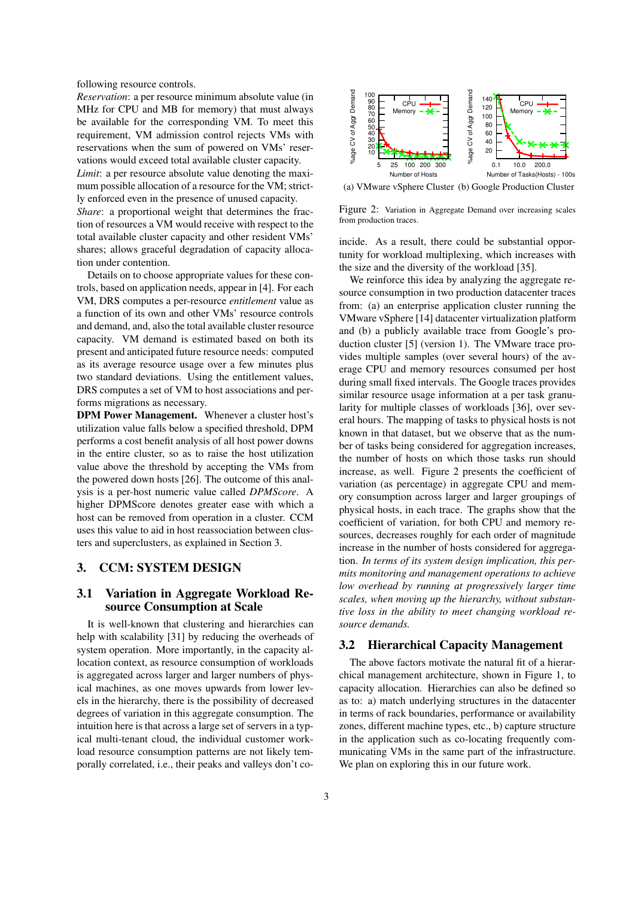following resource controls.

*Reservation*: a per resource minimum absolute value (in MHz for CPU and MB for memory) that must always be available for the corresponding VM. To meet this requirement, VM admission control rejects VMs with reservations when the sum of powered on VMs' reservations would exceed total available cluster capacity.

*Limit*: a per resource absolute value denoting the maximum possible allocation of a resource for the VM; strictly enforced even in the presence of unused capacity.

*Share*: a proportional weight that determines the fraction of resources a VM would receive with respect to the total available cluster capacity and other resident VMs' shares; allows graceful degradation of capacity allocation under contention.

Details on to choose appropriate values for these controls, based on application needs, appear in [4]. For each VM, DRS computes a per-resource *entitlement* value as a function of its own and other VMs' resource controls and demand, and, also the total available cluster resource capacity. VM demand is estimated based on both its present and anticipated future resource needs: computed as its average resource usage over a few minutes plus two standard deviations. Using the entitlement values, DRS computes a set of VM to host associations and performs migrations as necessary.

DPM Power Management. Whenever a cluster host's utilization value falls below a specified threshold, DPM performs a cost benefit analysis of all host power downs in the entire cluster, so as to raise the host utilization value above the threshold by accepting the VMs from the powered down hosts [26]. The outcome of this analysis is a per-host numeric value called *DPMScore*. A higher DPMScore denotes greater ease with which a host can be removed from operation in a cluster. CCM uses this value to aid in host reassociation between clusters and superclusters, as explained in Section 3.

#### 3. CCM: SYSTEM DESIGN

# 3.1 Variation in Aggregate Workload Resource Consumption at Scale

It is well-known that clustering and hierarchies can help with scalability [31] by reducing the overheads of system operation. More importantly, in the capacity allocation context, as resource consumption of workloads is aggregated across larger and larger numbers of physical machines, as one moves upwards from lower levels in the hierarchy, there is the possibility of decreased degrees of variation in this aggregate consumption. The intuition here is that across a large set of servers in a typical multi-tenant cloud, the individual customer workload resource consumption patterns are not likely temvallion solution to the method of the method of the method of the method of the method of resource about the density. Then the peaks and various porton and various of the method of resource for the VM, stricted com in the



(a) VMware vSphere Cluster (b) Google Production Cluster

Figure 2: Variation in Aggregate Demand over increasing scales from production traces.

incide. As a result, there could be substantial opportunity for workload multiplexing, which increases with the size and the diversity of the workload [35].

We reinforce this idea by analyzing the aggregate resource consumption in two production datacenter traces from: (a) an enterprise application cluster running the VMware vSphere [14] datacenter virtualization platform and (b) a publicly available trace from Google's production cluster [5] (version 1). The VMware trace provides multiple samples (over several hours) of the average CPU and memory resources consumed per host during small fixed intervals. The Google traces provides similar resource usage information at a per task granularity for multiple classes of workloads [36], over several hours. The mapping of tasks to physical hosts is not known in that dataset, but we observe that as the number of tasks being considered for aggregation increases, the number of hosts on which those tasks run should increase, as well. Figure 2 presents the coefficient of variation (as percentage) in aggregate CPU and memory consumption across larger and larger groupings of physical hosts, in each trace. The graphs show that the coefficient of variation, for both CPU and memory resources, decreases roughly for each order of magnitude increase in the number of hosts considered for aggregation. *In terms of its system design implication, this permits monitoring and management operations to achieve low overhead by running at progressively larger time scales, when moving up the hierarchy, without substantive loss in the ability to meet changing workload resource demands.*

#### 3.2 Hierarchical Capacity Management

The above factors motivate the natural fit of a hierarchical management architecture, shown in Figure 1, to capacity allocation. Hierarchies can also be defined so as to: a) match underlying structures in the datacenter in terms of rack boundaries, performance or availability zones, different machine types, etc., b) capture structure in the application such as co-locating frequently communicating VMs in the same part of the infrastructure. We plan on exploring this in our future work.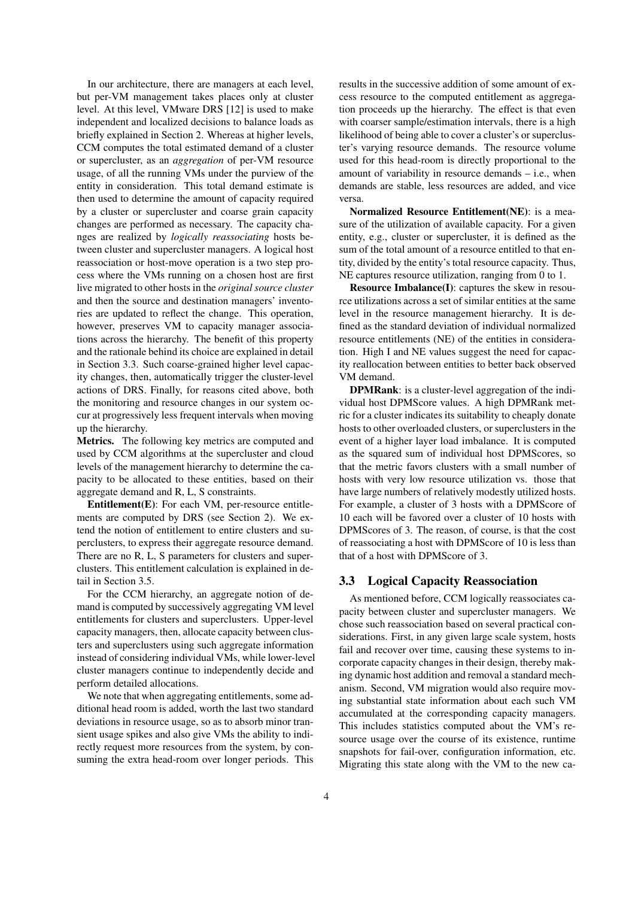In our architecture, there are managers at each level, but per-VM management takes places only at cluster level. At this level, VMware DRS [12] is used to make independent and localized decisions to balance loads as briefly explained in Section 2. Whereas at higher levels, CCM computes the total estimated demand of a cluster or supercluster, as an *aggregation* of per-VM resource usage, of all the running VMs under the purview of the entity in consideration. This total demand estimate is then used to determine the amount of capacity required by a cluster or supercluster and coarse grain capacity changes are performed as necessary. The capacity changes are realized by *logically reassociating* hosts between cluster and supercluster managers. A logical host reassociation or host-move operation is a two step process where the VMs running on a chosen host are first live migrated to other hosts in the *original source cluster* and then the source and destination managers' inventories are updated to reflect the change. This operation, however, preserves VM to capacity manager associations across the hierarchy. The benefit of this property and the rationale behind its choice are explained in detail in Section 3.3. Such coarse-grained higher level capacity changes, then, automatically trigger the cluster-level actions of DRS. Finally, for reasons cited above, both the monitoring and resource changes in our system occur at progressively less frequent intervals when moving up the hierarchy.

Metrics. The following key metrics are computed and used by CCM algorithms at the supercluster and cloud levels of the management hierarchy to determine the capacity to be allocated to these entities, based on their aggregate demand and R, L, S constraints.

Entitlement(E): For each VM, per-resource entitlements are computed by DRS (see Section 2). We extend the notion of entitlement to entire clusters and superclusters, to express their aggregate resource demand. There are no R, L, S parameters for clusters and superclusters. This entitlement calculation is explained in detail in Section 3.5.

For the CCM hierarchy, an aggregate notion of demand is computed by successively aggregating VM level entitlements for clusters and superclusters. Upper-level capacity managers, then, allocate capacity between clusters and superclusters using such aggregate information instead of considering individual VMs, while lower-level cluster managers continue to independently decide and perform detailed allocations.

We note that when aggregating entitlements, some additional head room is added, worth the last two standard deviations in resource usage, so as to absorb minor transient usage spikes and also give VMs the ability to indirectly request more resources from the system, by consuming the extra head-room over longer periods. This results in the successive addition of some amount of excess resource to the computed entitlement as aggregation proceeds up the hierarchy. The effect is that even with coarser sample/estimation intervals, there is a high likelihood of being able to cover a cluster's or supercluster's varying resource demands. The resource volume used for this head-room is directly proportional to the amount of variability in resource demands – i.e., when demands are stable, less resources are added, and vice versa.

Normalized Resource Entitlement(NE): is a measure of the utilization of available capacity. For a given entity, e.g., cluster or supercluster, it is defined as the sum of the total amount of a resource entitled to that entity, divided by the entity's total resource capacity. Thus, NE captures resource utilization, ranging from 0 to 1.

Resource Imbalance(I): captures the skew in resource utilizations across a set of similar entities at the same level in the resource management hierarchy. It is defined as the standard deviation of individual normalized resource entitlements (NE) of the entities in consideration. High I and NE values suggest the need for capacity reallocation between entities to better back observed VM demand.

DPMRank: is a cluster-level aggregation of the individual host DPMScore values. A high DPMRank metric for a cluster indicates its suitability to cheaply donate hosts to other overloaded clusters, or superclusters in the event of a higher layer load imbalance. It is computed as the squared sum of individual host DPMScores, so that the metric favors clusters with a small number of hosts with very low resource utilization vs. those that have large numbers of relatively modestly utilized hosts. For example, a cluster of 3 hosts with a DPMScore of 10 each will be favored over a cluster of 10 hosts with DPMScores of 3. The reason, of course, is that the cost of reassociating a host with DPMScore of 10 is less than that of a host with DPMScore of 3.

## 3.3 Logical Capacity Reassociation

As mentioned before, CCM logically reassociates capacity between cluster and supercluster managers. We chose such reassociation based on several practical considerations. First, in any given large scale system, hosts fail and recover over time, causing these systems to incorporate capacity changes in their design, thereby making dynamic host addition and removal a standard mechanism. Second, VM migration would also require moving substantial state information about each such VM accumulated at the corresponding capacity managers. This includes statistics computed about the VM's resource usage over the course of its existence, runtime snapshots for fail-over, configuration information, etc. Migrating this state along with the VM to the new ca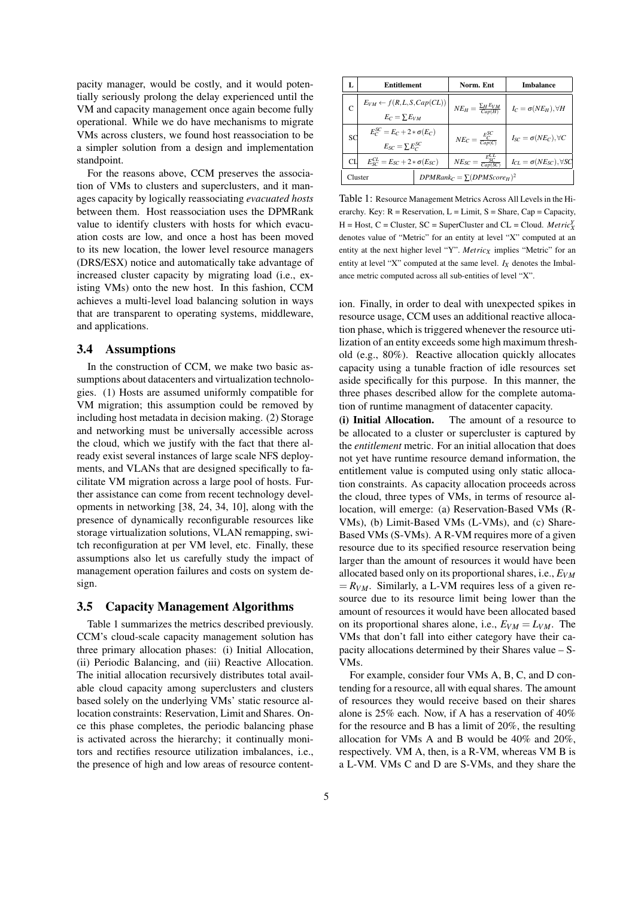pacity manager, would be costly, and it would potentially seriously prolong the delay experienced until the VM and capacity management once again become fully operational. While we do have mechanisms to migrate VMs across clusters, we found host reassociation to be a simpler solution from a design and implementation standpoint.

For the reasons above, CCM preserves the association of VMs to clusters and superclusters, and it manages capacity by logically reassociating *evacuated hosts* between them. Host reassociation uses the DPMRank value to identify clusters with hosts for which evacuation costs are low, and once a host has been moved to its new location, the lower level resource managers (DRS/ESX) notice and automatically take advantage of increased cluster capacity by migrating load (i.e., existing VMs) onto the new host. In this fashion, CCM achieves a multi-level load balancing solution in ways that are transparent to operating systems, middleware, and applications.

#### 3.4 Assumptions

In the construction of CCM, we make two basic assumptions about datacenters and virtualization technologies. (1) Hosts are assumed uniformly compatible for VM migration; this assumption could be removed by including host metadata in decision making. (2) Storage and networking must be universally accessible across the cloud, which we justify with the fact that there already exist several instances of large scale NFS deployments, and VLANs that are designed specifically to facilitate VM migration across a large pool of hosts. Further assistance can come from recent technology developments in networking [38, 24, 34, 10], along with the presence of dynamically reconfigurable resources like storage virtualization solutions, VLAN remapping, switch reconfiguration at per VM level, etc. Finally, these assumptions also let us carefully study the impact of management operation failures and costs on system design.

# 3.5 Capacity Management Algorithms

Table 1 summarizes the metrics described previously. CCM's cloud-scale capacity management solution has three primary allocation phases: (i) Initial Allocation, (ii) Periodic Balancing, and (iii) Reactive Allocation. The initial allocation recursively distributes total available cloud capacity among superclusters and clusters based solely on the underlying VMs' static resource allocation constraints: Reservation, Limit and Shares. Once this phase completes, the periodic balancing phase is activated across the hierarchy; it continually monitors and rectifies resource utilization imbalances, i.e., the presence of high and low areas of resource content-

| L             | <b>Entitlement</b>                          | Norm. Ent                               | <b>Imbalance</b>                       |  |
|---------------|---------------------------------------------|-----------------------------------------|----------------------------------------|--|
| $\mathcal{C}$ | $E_{VM} \leftarrow f(R, L, S, Cap(CL))$     | $NE_H = \frac{\sum_{H} E_{VM}}{Cap(H)}$ | $I_C = \sigma(NE_H), \forall H$        |  |
|               | $E_C = \sum E_{VM}$                         |                                         |                                        |  |
| sd            | $E_C^{SC} = E_C + 2 * \sigma(E_C)$          | $NE_C = \frac{E_C^{SC}}{Cap(C)}$        | $I_{SC} = \sigma(NE_C), \forall C$     |  |
|               | $E_{SC} = \sum E_C^{SC}$                    |                                         |                                        |  |
| CI'           | $E_{SC}^{CL} = E_{SC} + 2 * \sigma(E_{SC})$ | $NE_{SC} = \frac{E_{SC}^{LL}}{Cap(SC)}$ | $I_{CL} = \sigma(NE_{SC}), \forall SC$ |  |
| Cluster       |                                             | $DPMRank_C = \sum (DPMScore_H)^2$       |                                        |  |

Table 1: Resource Management Metrics Across All Levels in the Hierarchy. Key:  $R =$  Reservation,  $L =$  Limit,  $S =$  Share, Cap = Capacity,  $H = Host, C = Cluster, SC = SuperCluster and CL = Cloud. *Metric*<sub>X</sub><sup>Y</sup>$ denotes value of "Metric" for an entity at level "X" computed at an entity at the next higher level "Y". *Metric<sub>X</sub>* implies "Metric" for an entity at level "X" computed at the same level.  $I_X$  denotes the Imbalance metric computed across all sub-entities of level "X".

ion. Finally, in order to deal with unexpected spikes in resource usage, CCM uses an additional reactive allocation phase, which is triggered whenever the resource utilization of an entity exceeds some high maximum threshold (e.g., 80%). Reactive allocation quickly allocates capacity using a tunable fraction of idle resources set aside specifically for this purpose. In this manner, the three phases described allow for the complete automation of runtime managment of datacenter capacity.

(i) Initial Allocation. The amount of a resource to be allocated to a cluster or supercluster is captured by the *entitlement* metric. For an initial allocation that does not yet have runtime resource demand information, the entitlement value is computed using only static allocation constraints. As capacity allocation proceeds across the cloud, three types of VMs, in terms of resource allocation, will emerge: (a) Reservation-Based VMs (R-VMs), (b) Limit-Based VMs (L-VMs), and (c) Share-Based VMs (S-VMs). A R-VM requires more of a given resource due to its specified resource reservation being larger than the amount of resources it would have been allocated based only on its proportional shares, i.e., *EVM*  $=R_{VM}$ . Similarly, a L-VM requires less of a given resource due to its resource limit being lower than the amount of resources it would have been allocated based on its proportional shares alone, i.e.,  $E_{VM} = L_{VM}$ . The VMs that don't fall into either category have their capacity allocations determined by their Shares value – S-VMs.

For example, consider four VMs A, B, C, and D contending for a resource, all with equal shares. The amount of resources they would receive based on their shares alone is 25% each. Now, if A has a reservation of 40% for the resource and B has a limit of 20%, the resulting allocation for VMs A and B would be 40% and 20%, respectively. VM A, then, is a R-VM, whereas VM B is a L-VM. VMs C and D are S-VMs, and they share the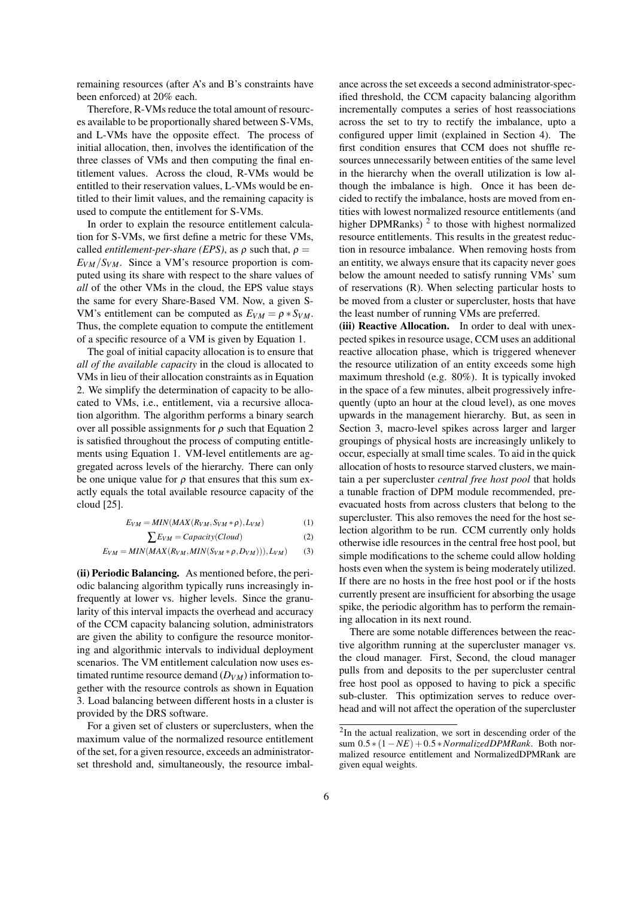remaining resources (after A's and B's constraints have been enforced) at 20% each.

Therefore, R-VMs reduce the total amount of resources available to be proportionally shared between S-VMs, and L-VMs have the opposite effect. The process of initial allocation, then, involves the identification of the three classes of VMs and then computing the final entitlement values. Across the cloud, R-VMs would be entitled to their reservation values, L-VMs would be entitled to their limit values, and the remaining capacity is used to compute the entitlement for S-VMs.

In order to explain the resource entitlement calculation for S-VMs, we first define a metric for these VMs, called *entitlement-per-share (EPS)*, as  $\rho$  such that,  $\rho$  =  $E_{VM}/S_{VM}$ . Since a VM's resource proportion is computed using its share with respect to the share values of *all* of the other VMs in the cloud, the EPS value stays the same for every Share-Based VM. Now, a given S-VM's entitlement can be computed as  $E_{VM} = \rho * S_{VM}$ . Thus, the complete equation to compute the entitlement of a specific resource of a VM is given by Equation 1.

The goal of initial capacity allocation is to ensure that *all of the available capacity* in the cloud is allocated to VMs in lieu of their allocation constraints as in Equation 2. We simplify the determination of capacity to be allocated to VMs, i.e., entitlement, via a recursive allocation algorithm. The algorithm performs a binary search over all possible assignments for  $\rho$  such that Equation 2 is satisfied throughout the process of computing entitlements using Equation 1. VM-level entitlements are aggregated across levels of the hierarchy. There can only be one unique value for  $\rho$  that ensures that this sum exactly equals the total available resource capacity of the cloud [25].

$$
E_{VM} = MIN(MAX(R_{VM}, S_{VM} * \rho), L_{VM})
$$
\n(1)

$$
\sum E_{VM} = Capacity(Cloud)
$$
 (2)

$$
E_{VM} = MIN(MAX(R_{VM}, MIN(S_{VM} * \rho, D_{VM}))), L_{VM})
$$
 (3)

(ii) Periodic Balancing. As mentioned before, the periodic balancing algorithm typically runs increasingly infrequently at lower vs. higher levels. Since the granularity of this interval impacts the overhead and accuracy of the CCM capacity balancing solution, administrators are given the ability to configure the resource monitoring and algorithmic intervals to individual deployment scenarios. The VM entitlement calculation now uses estimated runtime resource demand  $(D<sub>VM</sub>)$  information together with the resource controls as shown in Equation 3. Load balancing between different hosts in a cluster is provided by the DRS software.

For a given set of clusters or superclusters, when the maximum value of the normalized resource entitlement of the set, for a given resource, exceeds an administratorset threshold and, simultaneously, the resource imbalance across the set exceeds a second administrator-specified threshold, the CCM capacity balancing algorithm incrementally computes a series of host reassociations across the set to try to rectify the imbalance, upto a configured upper limit (explained in Section 4). The first condition ensures that CCM does not shuffle resources unnecessarily between entities of the same level in the hierarchy when the overall utilization is low although the imbalance is high. Once it has been decided to rectify the imbalance, hosts are moved from entities with lowest normalized resource entitlements (and higher DPMRanks)<sup>2</sup> to those with highest normalized resource entitlements. This results in the greatest reduction in resource imbalance. When removing hosts from an entitity, we always ensure that its capacity never goes below the amount needed to satisfy running VMs' sum of reservations (R). When selecting particular hosts to be moved from a cluster or supercluster, hosts that have the least number of running VMs are preferred.

(iii) Reactive Allocation. In order to deal with unexpected spikes in resource usage, CCM uses an additional reactive allocation phase, which is triggered whenever the resource utilization of an entity exceeds some high maximum threshold (e.g. 80%). It is typically invoked in the space of a few minutes, albeit progressively infrequently (upto an hour at the cloud level), as one moves upwards in the management hierarchy. But, as seen in Section 3, macro-level spikes across larger and larger groupings of physical hosts are increasingly unlikely to occur, especially at small time scales. To aid in the quick allocation of hosts to resource starved clusters, we maintain a per supercluster *central free host pool* that holds a tunable fraction of DPM module recommended, preevacuated hosts from across clusters that belong to the supercluster. This also removes the need for the host selection algorithm to be run. CCM currently only holds otherwise idle resources in the central free host pool, but simple modifications to the scheme could allow holding hosts even when the system is being moderately utilized. If there are no hosts in the free host pool or if the hosts currently present are insufficient for absorbing the usage spike, the periodic algorithm has to perform the remaining allocation in its next round.

There are some notable differences between the reactive algorithm running at the supercluster manager vs. the cloud manager. First, Second, the cloud manager pulls from and deposits to the per supercluster central free host pool as opposed to having to pick a specific sub-cluster. This optimization serves to reduce overhead and will not affect the operation of the supercluster

<sup>&</sup>lt;sup>2</sup>In the actual realization, we sort in descending order of the sum 0.5 ∗ (1−*NE*) +0.5 ∗*NormalizedDPMRank*. Both normalized resource entitlement and NormalizedDPMRank are given equal weights.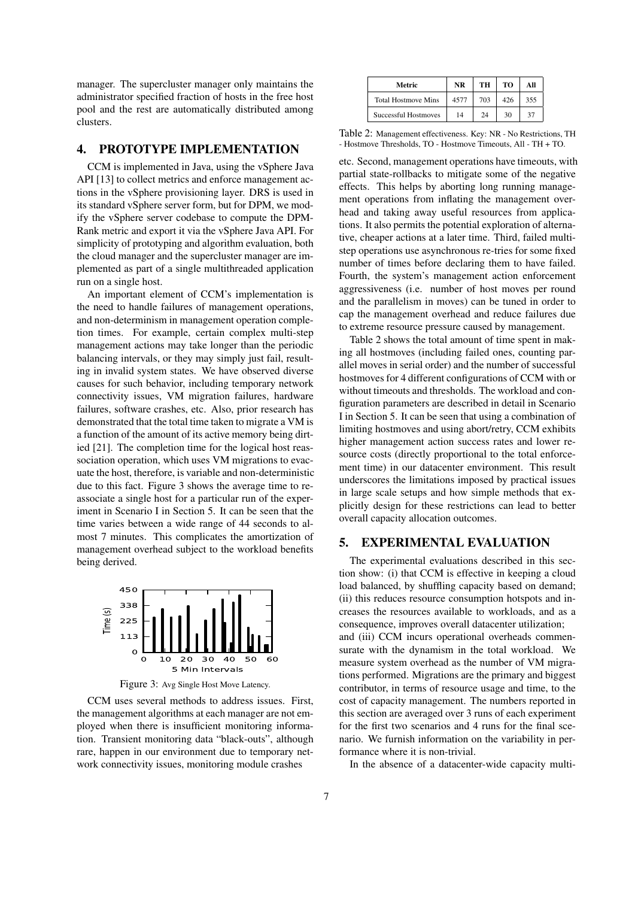manager. The supercluster manager only maintains the administrator specified fraction of hosts in the free host pool and the rest are automatically distributed among clusters.

# 4. PROTOTYPE IMPLEMENTATION

CCM is implemented in Java, using the vSphere Java API [13] to collect metrics and enforce management actions in the vSphere provisioning layer. DRS is used in its standard vSphere server form, but for DPM, we modify the vSphere server codebase to compute the DPM-Rank metric and export it via the vSphere Java API. For simplicity of prototyping and algorithm evaluation, both the cloud manager and the supercluster manager are implemented as part of a single multithreaded application run on a single host.

An important element of CCM's implementation is the need to handle failures of management operations, and non-determinism in management operation completion times. For example, certain complex multi-step management actions may take longer than the periodic balancing intervals, or they may simply just fail, resulting in invalid system states. We have observed diverse causes for such behavior, including temporary network connectivity issues, VM migration failures, hardware failures, software crashes, etc. Also, prior research has demonstrated that the total time taken to migrate a VM is a function of the amount of its active memory being dirtied [21]. The completion time for the logical host reassociation operation, which uses VM migrations to evacuate the host, therefore, is variable and non-deterministic due to this fact. Figure 3 shows the average time to reassociate a single host for a particular run of the experiment in Scenario I in Section 5. It can be seen that the time varies between a wide range of 44 seconds to almost 7 minutes. This complicates the amortization of management overhead subject to the workload benefits being derived.



Figure 3: Avg Single Host Move Latency.

CCM uses several methods to address issues. First, the management algorithms at each manager are not employed when there is insufficient monitoring information. Transient monitoring data "black-outs", although rare, happen in our environment due to temporary network connectivity issues, monitoring module crashes

| Metric                     | NR   | TН  | TО  | All |
|----------------------------|------|-----|-----|-----|
| <b>Total Hostmove Mins</b> | 4577 | 703 | 426 | 355 |
| Successful Hostmoves       | 14   | 24  | 30  | 37  |

Table 2: Management effectiveness. Key: NR - No Restrictions, TH - Hostmove Thresholds, TO - Hostmove Timeouts, All - TH + TO.

etc. Second, management operations have timeouts, with partial state-rollbacks to mitigate some of the negative effects. This helps by aborting long running management operations from inflating the management overhead and taking away useful resources from applications. It also permits the potential exploration of alternative, cheaper actions at a later time. Third, failed multistep operations use asynchronous re-tries for some fixed number of times before declaring them to have failed. Fourth, the system's management action enforcement aggressiveness (i.e. number of host moves per round and the parallelism in moves) can be tuned in order to cap the management overhead and reduce failures due to extreme resource pressure caused by management.

Table 2 shows the total amount of time spent in making all hostmoves (including failed ones, counting parallel moves in serial order) and the number of successful hostmoves for 4 different configurations of CCM with or without timeouts and thresholds. The workload and configuration parameters are described in detail in Scenario I in Section 5. It can be seen that using a combination of limiting hostmoves and using abort/retry, CCM exhibits higher management action success rates and lower resource costs (directly proportional to the total enforcement time) in our datacenter environment. This result underscores the limitations imposed by practical issues in large scale setups and how simple methods that explicitly design for these restrictions can lead to better overall capacity allocation outcomes.

# 5. EXPERIMENTAL EVALUATION

The experimental evaluations described in this section show: (i) that CCM is effective in keeping a cloud load balanced, by shuffling capacity based on demand; (ii) this reduces resource consumption hotspots and increases the resources available to workloads, and as a consequence, improves overall datacenter utilization; and (iii) CCM incurs operational overheads commensurate with the dynamism in the total workload. We measure system overhead as the number of VM migrations performed. Migrations are the primary and biggest contributor, in terms of resource usage and time, to the cost of capacity management. The numbers reported in this section are averaged over 3 runs of each experiment for the first two scenarios and 4 runs for the final scenario. We furnish information on the variability in performance where it is non-trivial.

In the absence of a datacenter-wide capacity multi-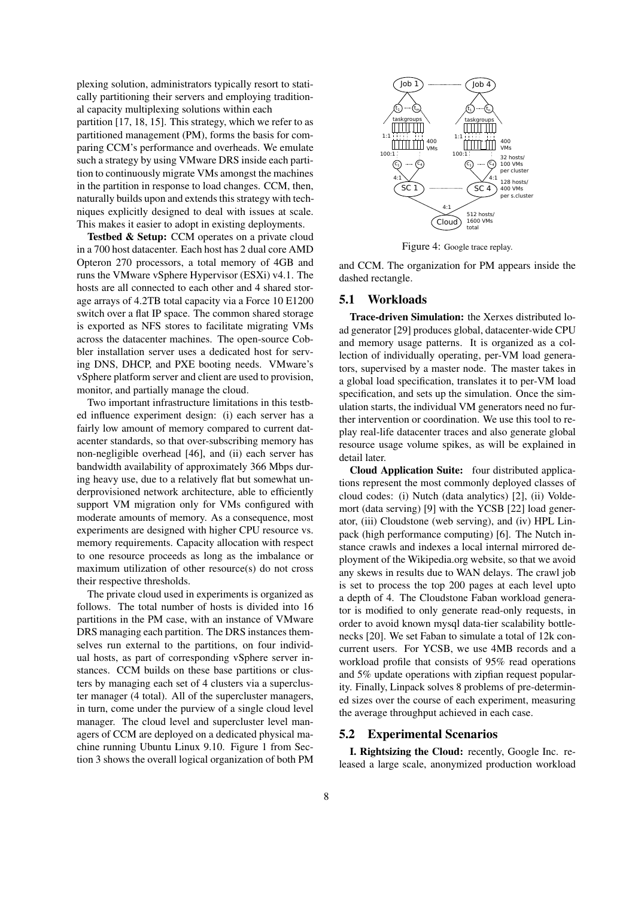plexing solution, administrators typically resort to statically partitioning their servers and employing traditional capacity multiplexing solutions within each

partition [17, 18, 15]. This strategy, which we refer to as partitioned management (PM), forms the basis for comparing CCM's performance and overheads. We emulate such a strategy by using VMware DRS inside each partition to continuously migrate VMs amongst the machines in the partition in response to load changes. CCM, then, naturally builds upon and extends this strategy with techniques explicitly designed to deal with issues at scale. This makes it easier to adopt in existing deployments.

Testbed & Setup: CCM operates on a private cloud in a 700 host datacenter. Each host has 2 dual core AMD Opteron 270 processors, a total memory of 4GB and runs the VMware vSphere Hypervisor (ESXi) v4.1. The hosts are all connected to each other and 4 shared storage arrays of 4.2TB total capacity via a Force 10 E1200 switch over a flat IP space. The common shared storage is exported as NFS stores to facilitate migrating VMs across the datacenter machines. The open-source Cobbler installation server uses a dedicated host for serving DNS, DHCP, and PXE booting needs. VMware's vSphere platform server and client are used to provision, monitor, and partially manage the cloud.

Two important infrastructure limitations in this testbed influence experiment design: (i) each server has a fairly low amount of memory compared to current datacenter standards, so that over-subscribing memory has non-negligible overhead [46], and (ii) each server has bandwidth availability of approximately 366 Mbps during heavy use, due to a relatively flat but somewhat underprovisioned network architecture, able to efficiently support VM migration only for VMs configured with moderate amounts of memory. As a consequence, most experiments are designed with higher CPU resource vs. memory requirements. Capacity allocation with respect to one resource proceeds as long as the imbalance or maximum utilization of other resource(s) do not cross their respective thresholds.

The private cloud used in experiments is organized as follows. The total number of hosts is divided into 16 partitions in the PM case, with an instance of VMware DRS managing each partition. The DRS instances themselves run external to the partitions, on four individual hosts, as part of corresponding vSphere server instances. CCM builds on these base partitions or clusters by managing each set of 4 clusters via a supercluster manager (4 total). All of the supercluster managers, in turn, come under the purview of a single cloud level manager. The cloud level and supercluster level managers of CCM are deployed on a dedicated physical machine running Ubuntu Linux 9.10. Figure 1 from Section 3 shows the overall logical organization of both PM



Figure 4: Google trace replay.

and CCM. The organization for PM appears inside the dashed rectangle.

#### 5.1 Workloads

Trace-driven Simulation: the Xerxes distributed load generator [29] produces global, datacenter-wide CPU and memory usage patterns. It is organized as a collection of individually operating, per-VM load generators, supervised by a master node. The master takes in a global load specification, translates it to per-VM load specification, and sets up the simulation. Once the simulation starts, the individual VM generators need no further intervention or coordination. We use this tool to replay real-life datacenter traces and also generate global resource usage volume spikes, as will be explained in detail later.

Cloud Application Suite: four distributed applications represent the most commonly deployed classes of cloud codes: (i) Nutch (data analytics) [2], (ii) Voldemort (data serving) [9] with the YCSB [22] load generator, (iii) Cloudstone (web serving), and (iv) HPL Linpack (high performance computing) [6]. The Nutch instance crawls and indexes a local internal mirrored deployment of the Wikipedia.org website, so that we avoid any skews in results due to WAN delays. The crawl job is set to process the top 200 pages at each level upto a depth of 4. The Cloudstone Faban workload generator is modified to only generate read-only requests, in order to avoid known mysql data-tier scalability bottlenecks [20]. We set Faban to simulate a total of 12k concurrent users. For YCSB, we use 4MB records and a workload profile that consists of 95% read operations and 5% update operations with zipfian request popularity. Finally, Linpack solves 8 problems of pre-determined sizes over the course of each experiment, measuring the average throughput achieved in each case.

### 5.2 Experimental Scenarios

I. Rightsizing the Cloud: recently, Google Inc. released a large scale, anonymized production workload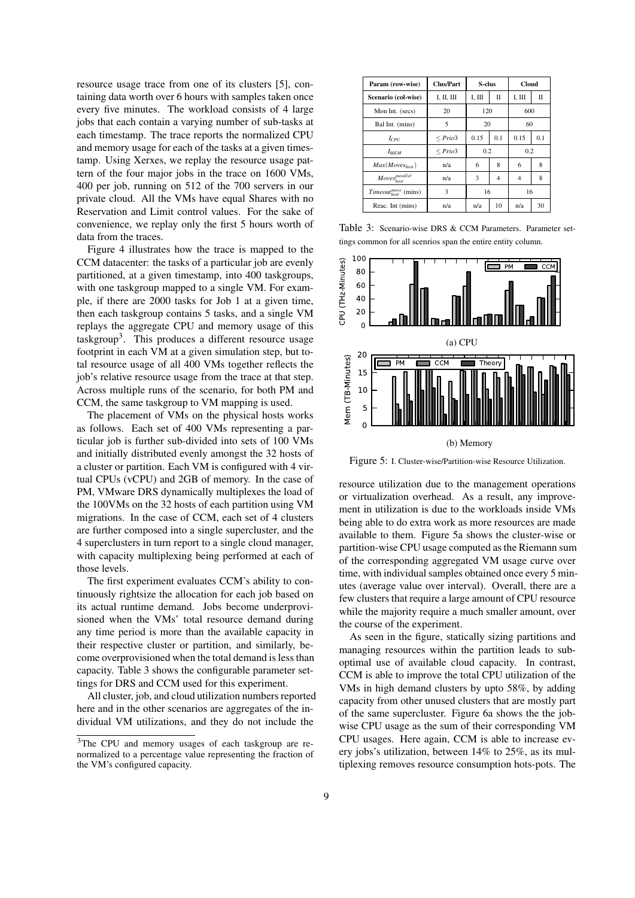resource usage trace from one of its clusters [5], containing data worth over 6 hours with samples taken once every five minutes. The workload consists of 4 large jobs that each contain a varying number of sub-tasks at each timestamp. The trace reports the normalized CPU and memory usage for each of the tasks at a given timestamp. Using Xerxes, we replay the resource usage pattern of the four major jobs in the trace on 1600 VMs, 400 per job, running on 512 of the 700 servers in our private cloud. All the VMs have equal Shares with no Reservation and Limit control values. For the sake of convenience, we replay only the first 5 hours worth of data from the traces.

Figure 4 illustrates how the trace is mapped to the CCM datacenter: the tasks of a particular job are evenly partitioned, at a given timestamp, into 400 taskgroups, with one taskgroup mapped to a single VM. For example, if there are 2000 tasks for Job 1 at a given time, then each taskgroup contains 5 tasks, and a single VM replays the aggregate CPU and memory usage of this taskgroup<sup>3</sup>. This produces a different resource usage footprint in each VM at a given simulation step, but total resource usage of all 400 VMs together reflects the job's relative resource usage from the trace at that step. Across multiple runs of the scenario, for both PM and CCM, the same taskgroup to VM mapping is used.

The placement of VMs on the physical hosts works as follows. Each set of 400 VMs representing a particular job is further sub-divided into sets of 100 VMs and initially distributed evenly amongst the 32 hosts of a cluster or partition. Each VM is configured with 4 virtual CPUs (vCPU) and 2GB of memory. In the case of PM, VMware DRS dynamically multiplexes the load of the 100VMs on the 32 hosts of each partition using VM migrations. In the case of CCM, each set of 4 clusters are further composed into a single supercluster, and the 4 superclusters in turn report to a single cloud manager, with capacity multiplexing being performed at each of those levels.

The first experiment evaluates CCM's ability to continuously rightsize the allocation for each job based on its actual runtime demand. Jobs become underprovisioned when the VMs' total resource demand during any time period is more than the available capacity in their respective cluster or partition, and similarly, become overprovisioned when the total demand is less than capacity. Table 3 shows the configurable parameter settings for DRS and CCM used for this experiment.

All cluster, job, and cloud utilization numbers reported here and in the other scenarios are aggregates of the individual VM utilizations, and they do not include the

| Param (row-wise)                                 | <b>Clus/Part</b> | S-clus |     | Cloud  |     |
|--------------------------------------------------|------------------|--------|-----|--------|-----|
| Scenario (col-wise)                              | I, II, III       | I, III | П   | I, III | П   |
| Mon Int. (secs)                                  | 20               | 120    |     | 600    |     |
| Bal Int. (mins)                                  | 5                | 20     |     | 60     |     |
| $I_{CPU}$                                        | $\langle Prio3$  | 0.15   | 0.1 | 0.15   | 0.1 |
| <b>IMEM</b>                                      | < Prio3          | 0.2    |     | 0.2    |     |
| $Max(Moves_{host})$                              | n/a              | 6      | 8   | 6      | 8   |
| $\mathit{Moves}_\mathit{host}^\mathit{parallel}$ | n/a              | 3      | 4   | 4      | 8   |
| <i>Timeout</i> <sub>host</sub> (mins)            | 3                | 16     |     | 16     |     |
| Reac. Int (mins)                                 | n/a              | n/a    | 10  | n/a    | 30  |

Table 3: Scenario-wise DRS & CCM Parameters. Parameter settings common for all scenrios span the entire entity column.



Figure 5: I. Cluster-wise/Partition-wise Resource Utilization.

resource utilization due to the management operations or virtualization overhead. As a result, any improvement in utilization is due to the workloads inside VMs being able to do extra work as more resources are made available to them. Figure 5a shows the cluster-wise or partition-wise CPU usage computed as the Riemann sum of the corresponding aggregated VM usage curve over time, with individual samples obtained once every 5 minutes (average value over interval). Overall, there are a few clusters that require a large amount of CPU resource while the majority require a much smaller amount, over the course of the experiment.

As seen in the figure, statically sizing partitions and managing resources within the partition leads to suboptimal use of available cloud capacity. In contrast, CCM is able to improve the total CPU utilization of the VMs in high demand clusters by upto 58%, by adding capacity from other unused clusters that are mostly part of the same supercluster. Figure 6a shows the the jobwise CPU usage as the sum of their corresponding VM CPU usages. Here again, CCM is able to increase every jobs's utilization, between 14% to 25%, as its multiplexing removes resource consumption hots-pots. The

<sup>&</sup>lt;sup>3</sup>The CPU and memory usages of each taskgroup are renormalized to a percentage value representing the fraction of the VM's configured capacity.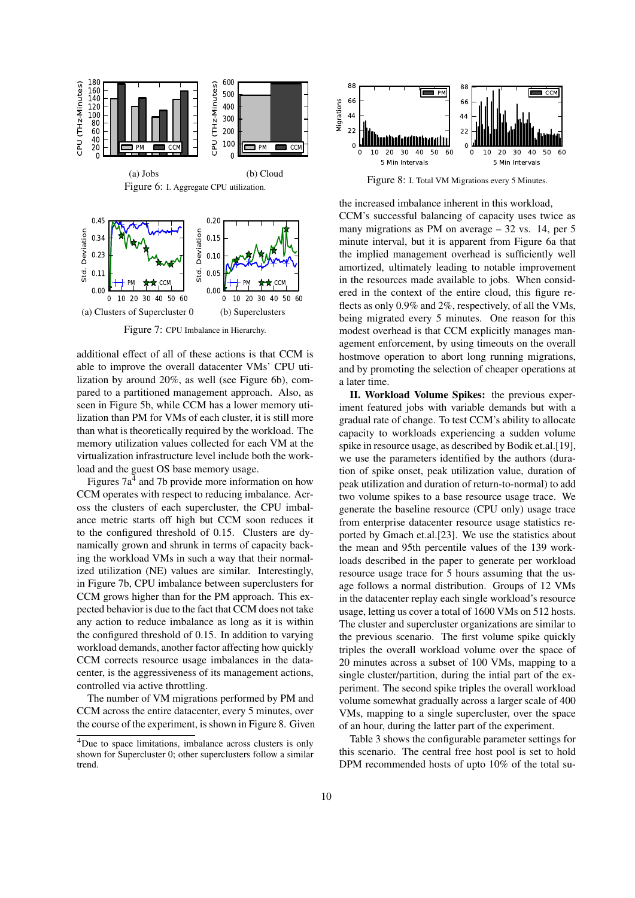

Figure 7: CPU Imbalance in Hierarchy.

additional effect of all of these actions is that CCM is able to improve the overall datacenter VMs' CPU utilization by around 20%, as well (see Figure 6b), compared to a partitioned management approach. Also, as seen in Figure 5b, while CCM has a lower memory utilization than PM for VMs of each cluster, it is still more than what is theoretically required by the workload. The memory utilization values collected for each VM at the virtualization infrastructure level include both the workload and the guest OS base memory usage.

Figures 7a<sup>4</sup> and 7b provide more information on how CCM operates with respect to reducing imbalance. Across the clusters of each supercluster, the CPU imbalance metric starts off high but CCM soon reduces it to the configured threshold of 0.15. Clusters are dynamically grown and shrunk in terms of capacity backing the workload VMs in such a way that their normalized utilization (NE) values are similar. Interestingly, in Figure 7b, CPU imbalance between superclusters for CCM grows higher than for the PM approach. This expected behavior is due to the fact that CCM does not take any action to reduce imbalance as long as it is within the configured threshold of 0.15. In addition to varying workload demands, another factor affecting how quickly CCM corrects resource usage imbalances in the datacenter, is the aggressiveness of its management actions, controlled via active throttling.

The number of VM migrations performed by PM and CCM across the entire datacenter, every 5 minutes, over the course of the experiment, is shown in Figure 8. Given



Figure 8: I. Total VM Migrations every 5 Minutes.

the increased imbalance inherent in this workload, CCM's successful balancing of capacity uses twice as many migrations as PM on average – 32 vs. 14, per 5 minute interval, but it is apparent from Figure 6a that the implied management overhead is sufficiently well amortized, ultimately leading to notable improvement in the resources made available to jobs. When considered in the context of the entire cloud, this figure reflects as only 0.9% and 2%, respectively, of all the VMs, being migrated every 5 minutes. One reason for this modest overhead is that CCM explicitly manages management enforcement, by using timeouts on the overall hostmove operation to abort long running migrations, and by promoting the selection of cheaper operations at a later time.

II. Workload Volume Spikes: the previous experiment featured jobs with variable demands but with a gradual rate of change. To test CCM's ability to allocate capacity to workloads experiencing a sudden volume spike in resource usage, as described by Bodik et.al.[19], we use the parameters identified by the authors (duration of spike onset, peak utilization value, duration of peak utilization and duration of return-to-normal) to add two volume spikes to a base resource usage trace. We generate the baseline resource (CPU only) usage trace from enterprise datacenter resource usage statistics reported by Gmach et.al.[23]. We use the statistics about the mean and 95th percentile values of the 139 workloads described in the paper to generate per workload resource usage trace for 5 hours assuming that the usage follows a normal distribution. Groups of 12 VMs in the datacenter replay each single workload's resource usage, letting us cover a total of 1600 VMs on 512 hosts. The cluster and supercluster organizations are similar to the previous scenario. The first volume spike quickly triples the overall workload volume over the space of 20 minutes across a subset of 100 VMs, mapping to a single cluster/partition, during the intial part of the experiment. The second spike triples the overall workload volume somewhat gradually across a larger scale of 400 VMs, mapping to a single supercluster, over the space of an hour, during the latter part of the experiment.

Table 3 shows the configurable parameter settings for this scenario. The central free host pool is set to hold DPM recommended hosts of upto 10% of the total su-

<sup>4</sup>Due to space limitations, imbalance across clusters is only shown for Supercluster 0; other superclusters follow a similar trend.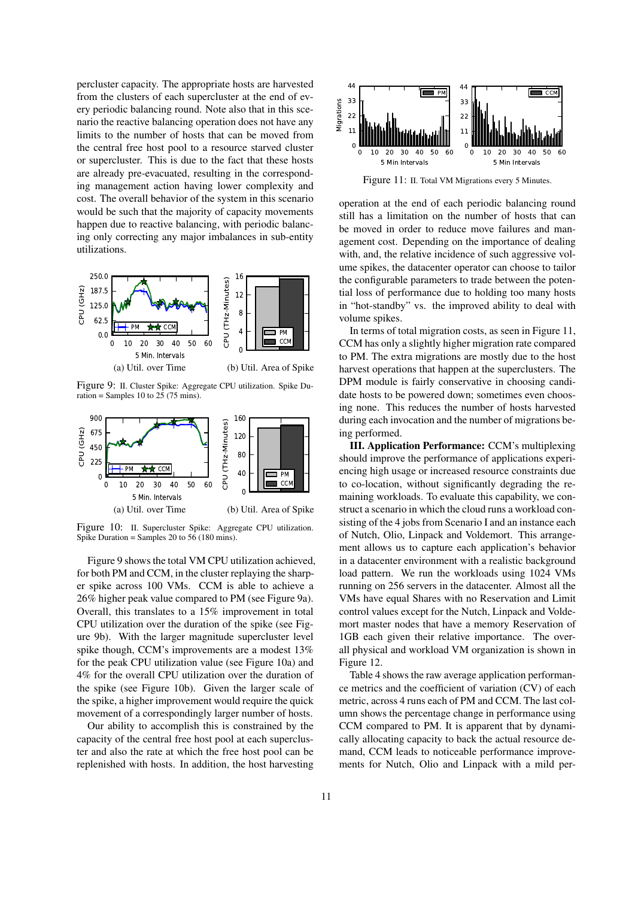percluster capacity. The appropriate hosts are harvested from the clusters of each supercluster at the end of every periodic balancing round. Note also that in this scenario the reactive balancing operation does not have any limits to the number of hosts that can be moved from the central free host pool to a resource starved cluster or supercluster. This is due to the fact that these hosts are already pre-evacuated, resulting in the corresponding management action having lower complexity and cost. The overall behavior of the system in this scenario would be such that the majority of capacity movements happen due to reactive balancing, with periodic balancing only correcting any major imbalances in sub-entity utilizations.



Figure 9: II. Cluster Spike: Aggregate CPU utilization. Spike Duration = Samples 10 to 25 (75 mins).



Figure 10: II. Supercluster Spike: Aggregate CPU utilization. Spike Duration = Samples 20 to 56 (180 mins).

Figure 9 shows the total VM CPU utilization achieved, for both PM and CCM, in the cluster replaying the sharper spike across 100 VMs. CCM is able to achieve a 26% higher peak value compared to PM (see Figure 9a). Overall, this translates to a 15% improvement in total CPU utilization over the duration of the spike (see Figure 9b). With the larger magnitude supercluster level spike though, CCM's improvements are a modest 13% for the peak CPU utilization value (see Figure 10a) and 4% for the overall CPU utilization over the duration of the spike (see Figure 10b). Given the larger scale of the spike, a higher improvement would require the quick movement of a correspondingly larger number of hosts.

Our ability to accomplish this is constrained by the capacity of the central free host pool at each supercluster and also the rate at which the free host pool can be replenished with hosts. In addition, the host harvesting



Figure 11: II. Total VM Migrations every 5 Minutes.

operation at the end of each periodic balancing round still has a limitation on the number of hosts that can be moved in order to reduce move failures and management cost. Depending on the importance of dealing with, and, the relative incidence of such aggressive volume spikes, the datacenter operator can choose to tailor the configurable parameters to trade between the potential loss of performance due to holding too many hosts in "hot-standby" vs. the improved ability to deal with volume spikes.

In terms of total migration costs, as seen in Figure 11, CCM has only a slightly higher migration rate compared to PM. The extra migrations are mostly due to the host harvest operations that happen at the superclusters. The DPM module is fairly conservative in choosing candidate hosts to be powered down; sometimes even choosing none. This reduces the number of hosts harvested during each invocation and the number of migrations being performed.

III. Application Performance: CCM's multiplexing should improve the performance of applications experiencing high usage or increased resource constraints due to co-location, without significantly degrading the remaining workloads. To evaluate this capability, we construct a scenario in which the cloud runs a workload consisting of the 4 jobs from Scenario I and an instance each of Nutch, Olio, Linpack and Voldemort. This arrangement allows us to capture each application's behavior in a datacenter environment with a realistic background load pattern. We run the workloads using 1024 VMs running on 256 servers in the datacenter. Almost all the VMs have equal Shares with no Reservation and Limit control values except for the Nutch, Linpack and Voldemort master nodes that have a memory Reservation of 1GB each given their relative importance. The overall physical and workload VM organization is shown in Figure 12.

Table 4 shows the raw average application performance metrics and the coefficient of variation (CV) of each metric, across 4 runs each of PM and CCM. The last column shows the percentage change in performance using CCM compared to PM. It is apparent that by dynamically allocating capacity to back the actual resource demand, CCM leads to noticeable performance improvements for Nutch, Olio and Linpack with a mild per-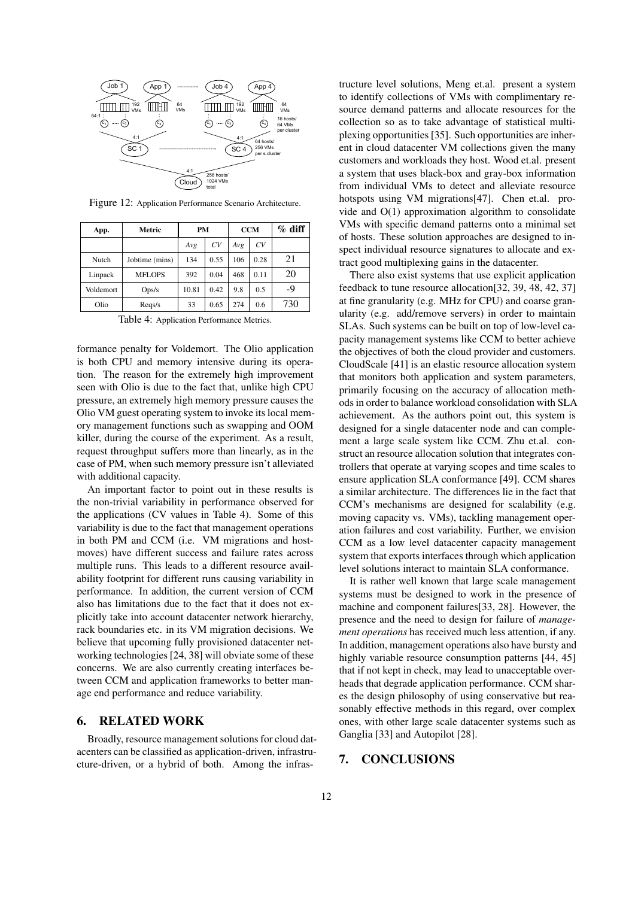

Figure 12: Application Performance Scenario Architecture.

| App.      | Metric         | PМ    |      | <b>CCM</b> |      | $\%$ diff |
|-----------|----------------|-------|------|------------|------|-----------|
|           |                | Avg   | CV   | Avg        | CV   |           |
| Nutch     | Jobtime (mins) | 134   | 0.55 | 106        | 0.28 | 21        |
| Linpack   | <b>MFLOPS</b>  | 392   | 0.04 | 468        | 0.11 | 20        |
| Voldemort | Ops/s          | 10.81 | 0.42 | 9.8        | 0.5  | -9        |
| Olio      | Reqs/s         | 33    | 0.65 | 274        | 0.6  | 730       |

Table 4: Application Performance Metrics.

formance penalty for Voldemort. The Olio application is both CPU and memory intensive during its operation. The reason for the extremely high improvement seen with Olio is due to the fact that, unlike high CPU pressure, an extremely high memory pressure causes the Olio VM guest operating system to invoke its local memory management functions such as swapping and OOM killer, during the course of the experiment. As a result, request throughput suffers more than linearly, as in the case of PM, when such memory pressure isn't alleviated with additional capacity.

An important factor to point out in these results is the non-trivial variability in performance observed for the applications (CV values in Table 4). Some of this variability is due to the fact that management operations in both PM and CCM (i.e. VM migrations and hostmoves) have different success and failure rates across multiple runs. This leads to a different resource availability footprint for different runs causing variability in performance. In addition, the current version of CCM also has limitations due to the fact that it does not explicitly take into account datacenter network hierarchy, rack boundaries etc. in its VM migration decisions. We believe that upcoming fully provisioned datacenter networking technologies [24, 38] will obviate some of these concerns. We are also currently creating interfaces between CCM and application frameworks to better manage end performance and reduce variability.

#### 6. RELATED WORK

Broadly, resource management solutions for cloud datacenters can be classified as application-driven, infrastructure-driven, or a hybrid of both. Among the infrastructure level solutions, Meng et.al. present a system to identify collections of VMs with complimentary resource demand patterns and allocate resources for the collection so as to take advantage of statistical multiplexing opportunities [35]. Such opportunities are inherent in cloud datacenter VM collections given the many customers and workloads they host. Wood et.al. present a system that uses black-box and gray-box information from individual VMs to detect and alleviate resource hotspots using VM migrations[47]. Chen et.al. provide and O(1) approximation algorithm to consolidate VMs with specific demand patterns onto a minimal set of hosts. These solution approaches are designed to inspect individual resource signatures to allocate and extract good multiplexing gains in the datacenter.

There also exist systems that use explicit application feedback to tune resource allocation[32, 39, 48, 42, 37] at fine granularity (e.g. MHz for CPU) and coarse granularity (e.g. add/remove servers) in order to maintain SLAs. Such systems can be built on top of low-level capacity management systems like CCM to better achieve the objectives of both the cloud provider and customers. CloudScale [41] is an elastic resource allocation system that monitors both application and system parameters, primarily focusing on the accuracy of allocation methods in order to balance workload consolidation with SLA achievement. As the authors point out, this system is designed for a single datacenter node and can complement a large scale system like CCM. Zhu et.al. construct an resource allocation solution that integrates controllers that operate at varying scopes and time scales to ensure application SLA conformance [49]. CCM shares a similar architecture. The differences lie in the fact that CCM's mechanisms are designed for scalability (e.g. moving capacity vs. VMs), tackling management operation failures and cost variability. Further, we envision CCM as a low level datacenter capacity management system that exports interfaces through which application level solutions interact to maintain SLA conformance.

It is rather well known that large scale management systems must be designed to work in the presence of machine and component failures[33, 28]. However, the presence and the need to design for failure of *management operations* has received much less attention, if any. In addition, management operations also have bursty and highly variable resource consumption patterns [44, 45] that if not kept in check, may lead to unacceptable overheads that degrade application performance. CCM shares the design philosophy of using conservative but reasonably effective methods in this regard, over complex ones, with other large scale datacenter systems such as Ganglia [33] and Autopilot [28].

## 7. CONCLUSIONS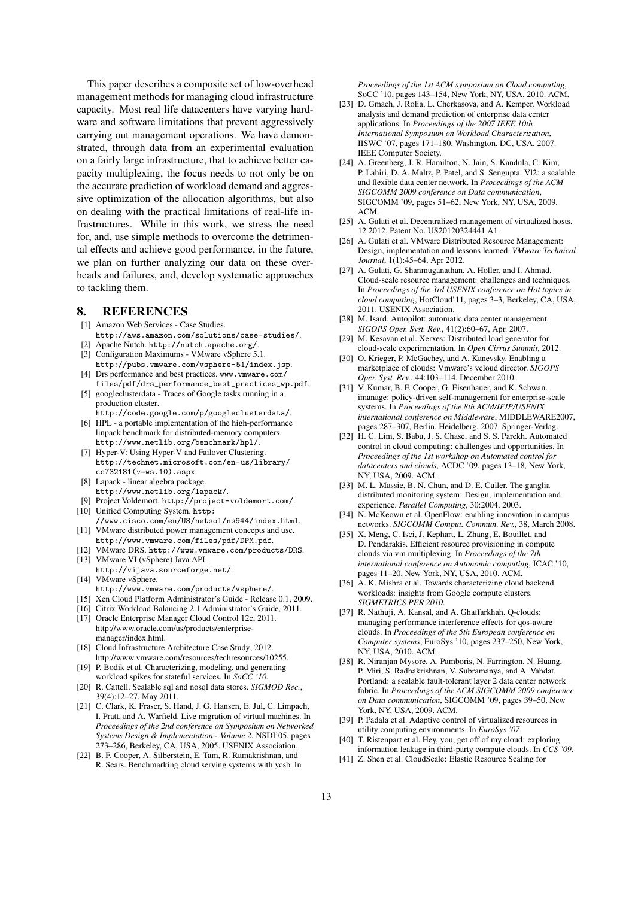This paper describes a composite set of low-overhead management methods for managing cloud infrastructure capacity. Most real life datacenters have varying hardware and software limitations that prevent aggressively carrying out management operations. We have demonstrated, through data from an experimental evaluation on a fairly large infrastructure, that to achieve better capacity multiplexing, the focus needs to not only be on the accurate prediction of workload demand and aggressive optimization of the allocation algorithms, but also on dealing with the practical limitations of real-life infrastructures. While in this work, we stress the need for, and, use simple methods to overcome the detrimental effects and achieve good performance, in the future, we plan on further analyzing our data on these overheads and failures, and, develop systematic approaches to tackling them.

#### 8. REFERENCES

- [1] Amazon Web Services Case Studies. http://aws.amazon.com/solutions/case-studies/.
- [2] Apache Nutch. http://nutch.apache.org/.
- [3] Configuration Maximums VMware vSphere 5.1. http://pubs.vmware.com/vsphere-51/index.jsp.
- [4] Drs performance and best practices. www.vmware.com/ files/pdf/drs\_performance\_best\_practices\_wp.pdf. [5] googleclusterdata - Traces of Google tasks running in a
- production cluster. http://code.google.com/p/googleclusterdata/.
- [6] HPL a portable implementation of the high-performance linpack benchmark for distributed-memory computers. http://www.netlib.org/benchmark/hpl/.
- [7] Hyper-V: Using Hyper-V and Failover Clustering. http://technet.microsoft.com/en-us/library/ cc732181(v=ws.10).aspx.
- [8] Lapack linear algebra package.
- http://www.netlib.org/lapack/. [9] Project Voldemort. http://project-voldemort.com/.
- [10] Unified Computing System. http:
- //www.cisco.com/en/US/netsol/ns944/index.html. [11] VMware distributed power management concepts and use.
- http://www.vmware.com/files/pdf/DPM.pdf.
- [12] VMware DRS. http://www.vmware.com/products/DRS. [13] VMware VI (vSphere) Java API.
- http://vijava.sourceforge.net/.
- [14] VMware vSphere. http://www.vmware.com/products/vsphere/.
- [15] Xen Cloud Platform Administrator's Guide Release 0.1, 2009.
- [16] Citrix Workload Balancing 2.1 Administrator's Guide, 2011.
- [17] Oracle Enterprise Manager Cloud Control 12c, 2011. http://www.oracle.com/us/products/enterprisemanager/index.html.
- [18] Cloud Infrastructure Architecture Case Study, 2012. http://www.vmware.com/resources/techresources/10255.
- [19] P. Bodik et al. Characterizing, modeling, and generating workload spikes for stateful services. In *SoCC '10*.
- [20] R. Cattell. Scalable sql and nosql data stores. *SIGMOD Rec.*, 39(4):12–27, May 2011.
- [21] C. Clark, K. Fraser, S. Hand, J. G. Hansen, E. Jul, C. Limpach, I. Pratt, and A. Warfield. Live migration of virtual machines. In *Proceedings of the 2nd conference on Symposium on Networked Systems Design & Implementation - Volume 2*, NSDI'05, pages 273–286, Berkeley, CA, USA, 2005. USENIX Association.
- [22] B. F. Cooper, A. Silberstein, E. Tam, R. Ramakrishnan, and R. Sears. Benchmarking cloud serving systems with ycsb. In

*Proceedings of the 1st ACM symposium on Cloud computing*, SoCC '10, pages 143–154, New York, NY, USA, 2010. ACM.

- [23] D. Gmach, J. Rolia, L. Cherkasova, and A. Kemper. Workload analysis and demand prediction of enterprise data center applications. In *Proceedings of the 2007 IEEE 10th International Symposium on Workload Characterization*, IISWC '07, pages 171–180, Washington, DC, USA, 2007. IEEE Computer Society.
- [24] A. Greenberg, J. R. Hamilton, N. Jain, S. Kandula, C. Kim, P. Lahiri, D. A. Maltz, P. Patel, and S. Sengupta. Vl2: a scalable and flexible data center network. In *Proceedings of the ACM SIGCOMM 2009 conference on Data communication*, SIGCOMM '09, pages 51–62, New York, NY, USA, 2009. ACM.
- [25] A. Gulati et al. Decentralized management of virtualized hosts, 12 2012. Patent No. US20120324441 A1.
- [26] A. Gulati et al. VMware Distributed Resource Management: Design, implementation and lessons learned. *VMware Technical Journal*, 1(1):45–64, Apr 2012.
- [27] A. Gulati, G. Shanmuganathan, A. Holler, and I. Ahmad. Cloud-scale resource management: challenges and techniques. In *Proceedings of the 3rd USENIX conference on Hot topics in cloud computing*, HotCloud'11, pages 3–3, Berkeley, CA, USA, 2011. USENIX Association.
- [28] M. Isard. Autopilot: automatic data center management. *SIGOPS Oper. Syst. Rev.*, 41(2):60–67, Apr. 2007.
- [29] M. Kesavan et al. Xerxes: Distributed load generator for cloud-scale experimentation. In *Open Cirrus Summit*, 2012.
- [30] O. Krieger, P. McGachey, and A. Kanevsky. Enabling a marketplace of clouds: Vmware's vcloud director. *SIGOPS Oper. Syst. Rev.*, 44:103–114, December 2010.
- [31] V. Kumar, B. F. Cooper, G. Eisenhauer, and K. Schwan. imanage: policy-driven self-management for enterprise-scale systems. In *Proceedings of the 8th ACM/IFIP/USENIX international conference on Middleware*, MIDDLEWARE2007, pages 287–307, Berlin, Heidelberg, 2007. Springer-Verlag.
- [32] H. C. Lim, S. Babu, J. S. Chase, and S. S. Parekh. Automated control in cloud computing: challenges and opportunities. In *Proceedings of the 1st workshop on Automated control for datacenters and clouds*, ACDC '09, pages 13–18, New York, NY, USA, 2009. ACM.
- [33] M. L. Massie, B. N. Chun, and D. E. Culler. The ganglia distributed monitoring system: Design, implementation and experience. *Parallel Computing*, 30:2004, 2003.
- [34] N. McKeown et al. OpenFlow: enabling innovation in campus networks. *SIGCOMM Comput. Commun. Rev.*, 38, March 2008.
- [35] X. Meng, C. Isci, J. Kephart, L. Zhang, E. Bouillet, and D. Pendarakis. Efficient resource provisioning in compute clouds via vm multiplexing. In *Proceedings of the 7th international conference on Autonomic computing*, ICAC '10, pages 11–20, New York, NY, USA, 2010. ACM.
- [36] A. K. Mishra et al. Towards characterizing cloud backend workloads: insights from Google compute clusters. *SIGMETRICS PER 2010*.
- [37] R. Nathuji, A. Kansal, and A. Ghaffarkhah. Q-clouds: managing performance interference effects for qos-aware clouds. In *Proceedings of the 5th European conference on Computer systems*, EuroSys '10, pages 237–250, New York, NY, USA, 2010. ACM.
- [38] R. Niranjan Mysore, A. Pamboris, N. Farrington, N. Huang, P. Miri, S. Radhakrishnan, V. Subramanya, and A. Vahdat. Portland: a scalable fault-tolerant layer 2 data center network fabric. In *Proceedings of the ACM SIGCOMM 2009 conference on Data communication*, SIGCOMM '09, pages 39–50, New York, NY, USA, 2009. ACM.
- [39] P. Padala et al. Adaptive control of virtualized resources in utility computing environments. In *EuroSys '07*.
- [40] T. Ristenpart et al. Hey, you, get off of my cloud: exploring information leakage in third-party compute clouds. In *CCS '09*.
- [41] Z. Shen et al. CloudScale: Elastic Resource Scaling for